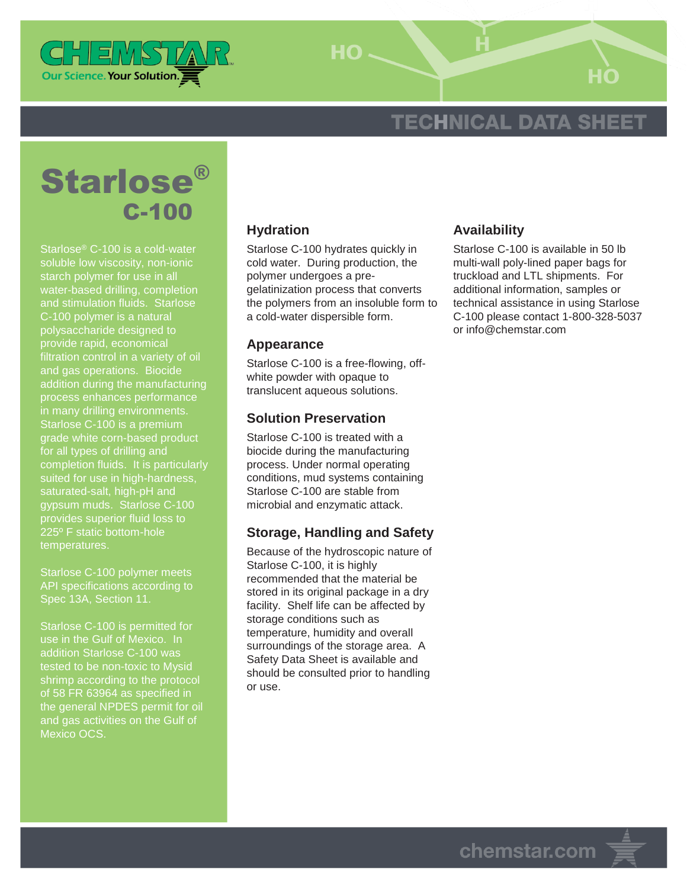

 $HO -$ 

# **TECHNICAL DATA SHEET**

# Starlose® C-100

Starlose® C-100 is a cold-water soluble low viscosity, non-ionic starch polymer for use in all water-based drilling, completion and stimulation fluids. Starlose C-100 polymer is a natural polysaccharide designed to provide rapid, economical filtration control in a variety of oil and gas operations. Biocide addition during the manufacturing process enhances performance in many drilling environments. Starlose C-100 is a premium grade white corn-based product for all types of drilling and completion fluids. It is particularly suited for use in high-hardness, saturated-salt, high-pH and gypsum muds. Starlose C-100 provides superior fluid loss to 225º F static bottom-hole temperatures.

Starlose C-100 polymer meets API specifications according to Spec 13A, Section 11.

Starlose C-100 is permitted for addition Starlose C-100 was tested to be non-toxic to Mysid shrimp according to the protocol of 58 FR 63964 as specified in the general NPDES permit for oil and gas activities on the Gulf of Mexico OCS.

### **Hydration**

Starlose C-100 hydrates quickly in cold water. During production, the polymer undergoes a pregelatinization process that converts the polymers from an insoluble form to a cold-water dispersible form.

#### **Appearance**

Starlose C-100 is a free-flowing, offwhite powder with opaque to translucent aqueous solutions.

#### **Solution Preservation**

Starlose C-100 is treated with a biocide during the manufacturing process. Under normal operating conditions, mud systems containing Starlose C-100 are stable from microbial and enzymatic attack.

#### **Storage, Handling and Safety**

Because of the hydroscopic nature of Starlose C-100, it is highly recommended that the material be stored in its original package in a dry facility. Shelf life can be affected by storage conditions such as temperature, humidity and overall surroundings of the storage area. A Safety Data Sheet is available and should be consulted prior to handling or use.

#### **Availability**

Starlose C-100 is available in 50 lb multi-wall poly-lined paper bags for truckload and LTL shipments. For additional information, samples or technical assistance in using Starlose C-100 please contact 1-800-328-5037 or info@chemstar.com